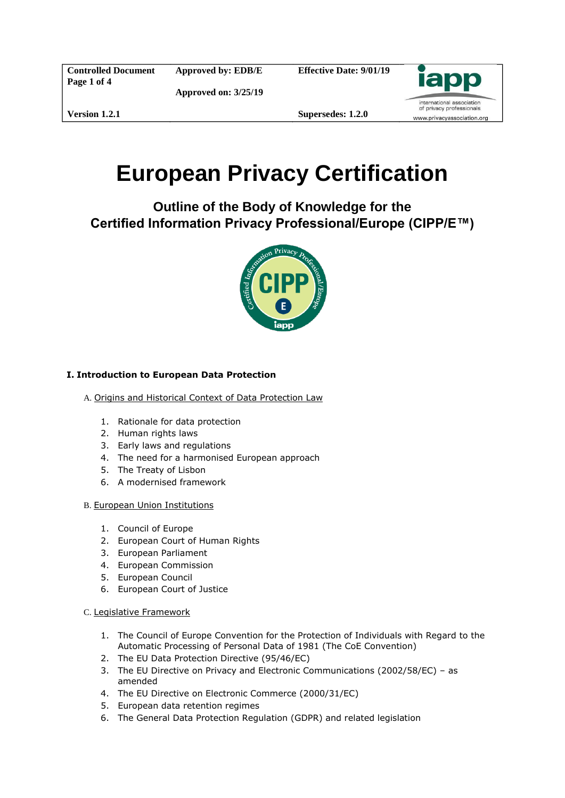**Controlled Document Page 1 of 4**

**Approved by: EDB/E**

**Approved on: 3/25/19**

**Effective Date: 9/01/19**



**Version 1.2.1**

**Supersedes: 1.2.0**

# **European Privacy Certification**

**Outline of the Body of Knowledge for the Certified Information Privacy Professional/Europe (CIPP/E™)** 



## **I. Introduction to European Data Protection**

- A. Origins and Historical Context of Data Protection Law
	- 1. Rationale for data protection
	- 2. Human rights laws
	- 3. Early laws and regulations
	- 4. The need for a harmonised European approach
	- 5. The Treaty of Lisbon
	- 6. A modernised framework
- B. European Union Institutions
	- 1. Council of Europe
	- 2. European Court of Human Rights
	- 3. European Parliament
	- 4. European Commission
	- 5. European Council
	- 6. European Court of Justice
- C. Legislative Framework
	- 1. The Council of Europe Convention for the Protection of Individuals with Regard to the Automatic Processing of Personal Data of 1981 (The CoE Convention)
	- 2. The EU Data Protection Directive (95/46/EC)
	- 3. The EU Directive on Privacy and Electronic Communications (2002/58/EC) as amended
	- 4. The EU Directive on Electronic Commerce (2000/31/EC)
	- 5. European data retention regimes
	- 6. The General Data Protection Regulation (GDPR) and related legislation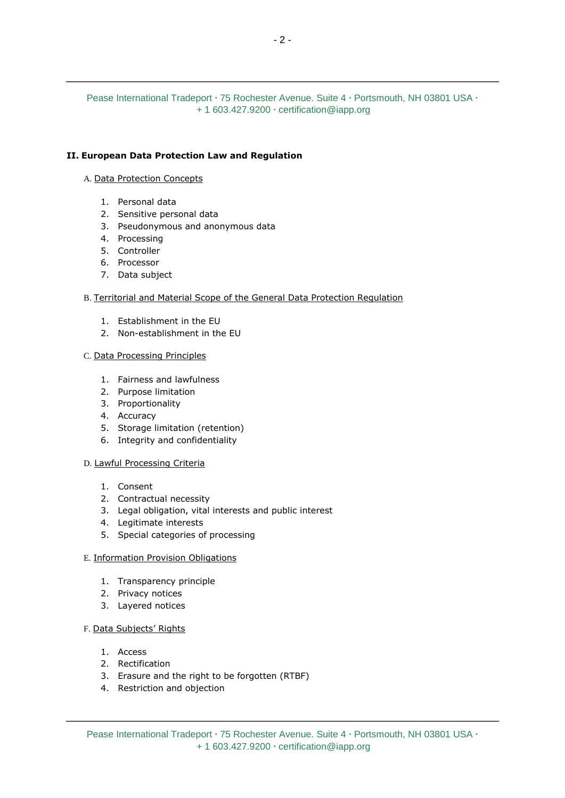## Pease International Tradeport **∙** 75 Rochester Avenue. Suite 4 **∙** Portsmouth, NH 03801 USA **∙** + 1 603.427.9200 **∙** certification@iapp.org

## **II. European Data Protection Law and Regulation**

#### A. Data Protection Concepts

- 1. Personal data
- 2. Sensitive personal data
- 3. Pseudonymous and anonymous data
- 4. Processing
- 5. Controller
- 6. Processor
- 7. Data subject

#### B. Territorial and Material Scope of the General Data Protection Regulation

- 1. Establishment in the EU
- 2. Non-establishment in the EU

#### C. Data Processing Principles

- 1. Fairness and lawfulness
- 2. Purpose limitation
- 3. Proportionality
- 4. Accuracy
- 5. Storage limitation (retention)
- 6. Integrity and confidentiality

#### D. Lawful Processing Criteria

- 1. Consent
- 2. Contractual necessity
- 3. Legal obligation, vital interests and public interest
- 4. Legitimate interests
- 5. Special categories of processing

#### E. Information Provision Obligations

- 1. Transparency principle
- 2. Privacy notices
- 3. Layered notices

#### F. Data Subjects' Rights

- 1. Access
- 2. Rectification
- 3. Erasure and the right to be forgotten (RTBF)
- 4. Restriction and objection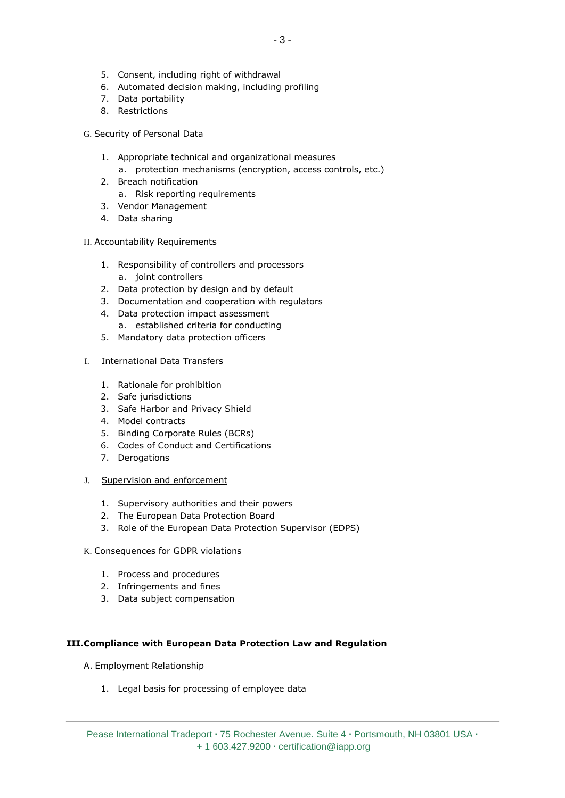- 5. Consent, including right of withdrawal
- 6. Automated decision making, including profiling
- 7. Data portability
- 8. Restrictions

## G. Security of Personal Data

- 1. Appropriate technical and organizational measures a. protection mechanisms (encryption, access controls, etc.)
- 2. Breach notification
	- a. Risk reporting requirements
- 3. Vendor Management
- 4. Data sharing

## H. Accountability Requirements

- 1. Responsibility of controllers and processors a. joint controllers
- 2. Data protection by design and by default
- 3. Documentation and cooperation with regulators
- 4. Data protection impact assessment
	- a. established criteria for conducting
- 5. Mandatory data protection officers

## I. International Data Transfers

- 1. Rationale for prohibition
- 2. Safe jurisdictions
- 3. Safe Harbor and Privacy Shield
- 4. Model contracts
- 5. Binding Corporate Rules (BCRs)
- 6. Codes of Conduct and Certifications
- 7. Derogations
- J. Supervision and enforcement
	- 1. Supervisory authorities and their powers
	- 2. The European Data Protection Board
	- 3. Role of the European Data Protection Supervisor (EDPS)

## K. Consequences for GDPR violations

- 1. Process and procedures
- 2. Infringements and fines
- 3. Data subject compensation

## **III.Compliance with European Data Protection Law and Regulation**

- A. Employment Relationship
	- 1. Legal basis for processing of employee data